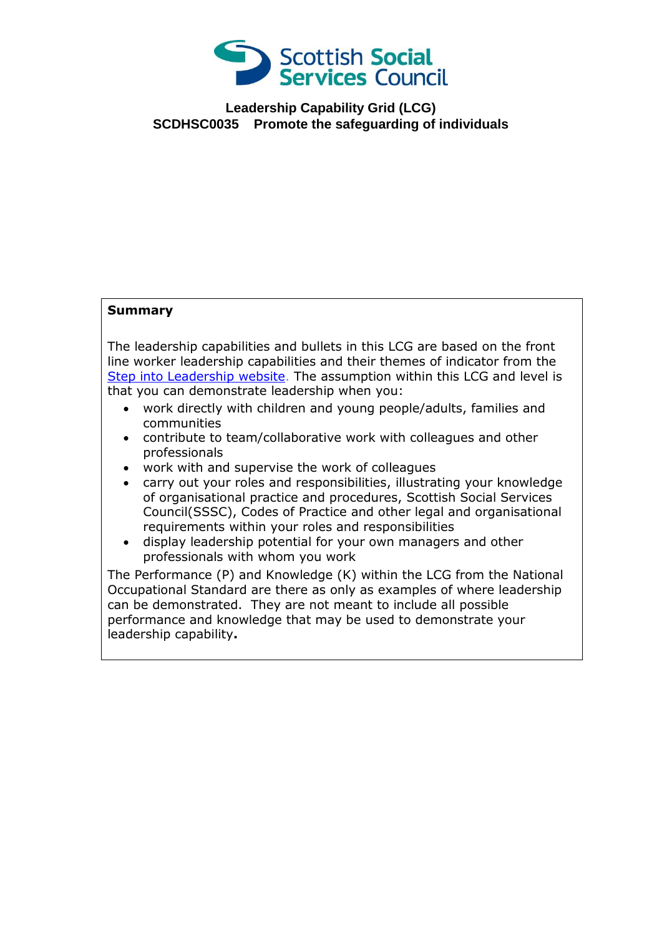

**Leadership Capability Grid (LCG) SCDHSC0035 Promote the safeguarding of individuals**

## **Summary**

The leadership capabilities and bullets in this LCG are based on the front line worker leadership capabilities and their themes of indicator from the [Step into Leadership website.](http://www.stepintoleadership.info/) The assumption within this LCG and level is that you can demonstrate leadership when you:

- work directly with children and young people/adults, families and communities
- contribute to team/collaborative work with colleagues and other professionals
- work with and supervise the work of colleagues
- carry out your roles and responsibilities, illustrating your knowledge of organisational practice and procedures, Scottish Social Services Council(SSSC), Codes of Practice and other legal and organisational requirements within your roles and responsibilities
- display leadership potential for your own managers and other professionals with whom you work

The Performance (P) and Knowledge (K) within the LCG from the National Occupational Standard are there as only as examples of where leadership can be demonstrated. They are not meant to include all possible performance and knowledge that may be used to demonstrate your leadership capability**.**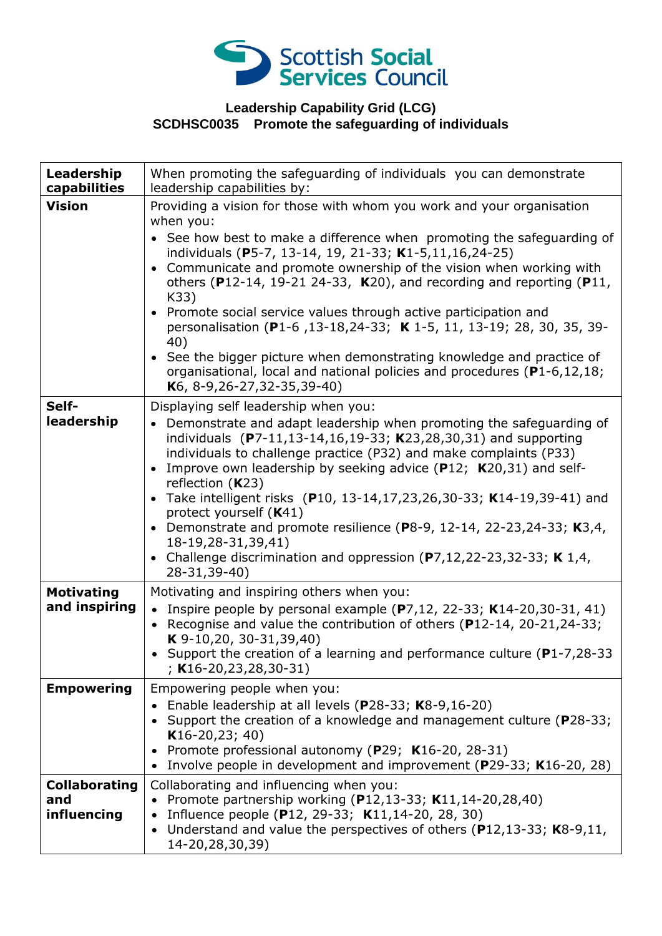

## **Leadership Capability Grid (LCG) SCDHSC0035 Promote the safeguarding of individuals**

| Leadership<br>capabilities                 | When promoting the safeguarding of individuals you can demonstrate<br>leadership capabilities by:                                                                                                                                                                                                                                                                                                                                                                                                                                                                                                                                                                                                                                           |
|--------------------------------------------|---------------------------------------------------------------------------------------------------------------------------------------------------------------------------------------------------------------------------------------------------------------------------------------------------------------------------------------------------------------------------------------------------------------------------------------------------------------------------------------------------------------------------------------------------------------------------------------------------------------------------------------------------------------------------------------------------------------------------------------------|
| <b>Vision</b>                              | Providing a vision for those with whom you work and your organisation<br>when you:<br>• See how best to make a difference when promoting the safeguarding of<br>individuals (P5-7, 13-14, 19, 21-33; K1-5,11,16,24-25)<br>Communicate and promote ownership of the vision when working with<br>$\bullet$<br>others (P12-14, 19-21 24-33, K20), and recording and reporting (P11,<br>K33)<br>Promote social service values through active participation and<br>$\bullet$<br>personalisation (P1-6, 13-18, 24-33; K 1-5, 11, 13-19; 28, 30, 35, 39-<br>40)<br>See the bigger picture when demonstrating knowledge and practice of<br>organisational, local and national policies and procedures (P1-6,12,18;<br>K6, 8-9, 26-27, 32-35, 39-40) |
| Self-<br>leadership                        | Displaying self leadership when you:<br>Demonstrate and adapt leadership when promoting the safeguarding of<br>individuals (P7-11,13-14,16,19-33; K23,28,30,31) and supporting<br>individuals to challenge practice (P32) and make complaints (P33)<br>Improve own leadership by seeking advice (P12; K20,31) and self-<br>reflection $(K23)$<br>Take intelligent risks (P10, 13-14,17,23,26,30-33; K14-19,39-41) and<br>protect yourself (K41)<br>• Demonstrate and promote resilience (P8-9, 12-14, 22-23, 24-33; K3, 4,<br>18-19,28-31,39,41)<br>Challenge discrimination and oppression $(P7, 12, 22-23, 32-33; K 1, 4,$<br>28-31,39-40)                                                                                                |
| <b>Motivating</b><br>and inspiring         | Motivating and inspiring others when you:<br>• Inspire people by personal example $(P7, 12, 22-33; K14-20, 30-31, 41)$<br>• Recognise and value the contribution of others (P12-14, 20-21, 24-33;<br>K $9-10,20, 30-31,39,40$<br>• Support the creation of a learning and performance culture (P1-7,28-33<br>$;$ K16-20,23,28,30-31)                                                                                                                                                                                                                                                                                                                                                                                                        |
| <b>Empowering</b>                          | Empowering people when you:<br>Enable leadership at all levels ( $P28-33$ ; K8-9,16-20)<br>• Support the creation of a knowledge and management culture (P28-33;<br>$K16-20,23; 40)$<br>Promote professional autonomy (P29; K16-20, 28-31)<br>Involve people in development and improvement ( $P$ 29-33; K16-20, 28)                                                                                                                                                                                                                                                                                                                                                                                                                        |
| <b>Collaborating</b><br>and<br>influencing | Collaborating and influencing when you:<br>Promote partnership working (P12,13-33; K11,14-20,28,40)<br>• Influence people (P12, 29-33; K11,14-20, 28, 30)<br>Understand and value the perspectives of others ( $P12,13-33$ ; K8-9,11,<br>14-20,28,30,39)                                                                                                                                                                                                                                                                                                                                                                                                                                                                                    |